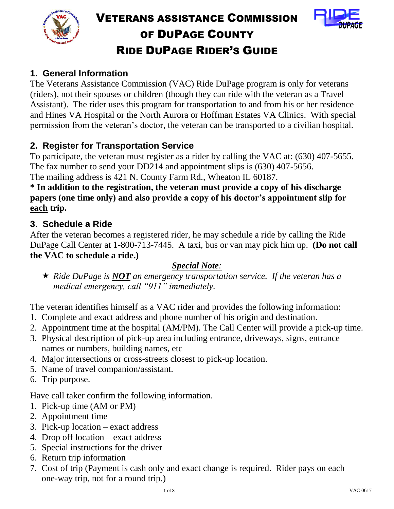



## **1. General Information**

The Veterans Assistance Commission (VAC) Ride DuPage program is only for veterans (riders), not their spouses or children (though they can ride with the veteran as a Travel Assistant). The rider uses this program for transportation to and from his or her residence and Hines VA Hospital or the North Aurora or Hoffman Estates VA Clinics. With special permission from the veteran's doctor, the veteran can be transported to a civilian hospital.

## **2. Register for Transportation Service**

To participate, the veteran must register as a rider by calling the VAC at: (630) 407-5655. The fax number to send your DD214 and appointment slips is (630) 407-5656. The mailing address is 421 N. County Farm Rd., Wheaton IL 60187.

## **\* In addition to the registration, the veteran must provide a copy of his discharge papers (one time only) and also provide a copy of his doctor's appointment slip for each trip.**

#### **3. Schedule a Ride**

After the veteran becomes a registered rider, he may schedule a ride by calling the Ride DuPage Call Center at 1-800-713-7445. A taxi, bus or van may pick him up. **(Do not call the VAC to schedule a ride.)** 

#### *Special Note:*

 *Ride DuPage is NOT an emergency transportation service. If the veteran has a medical emergency, call "911" immediately.*

The veteran identifies himself as a VAC rider and provides the following information:

- 1. Complete and exact address and phone number of his origin and destination.
- 2. Appointment time at the hospital (AM/PM). The Call Center will provide a pick-up time.
- 3. Physical description of pick-up area including entrance, driveways, signs, entrance names or numbers, building names, etc
- 4. Major intersections or cross-streets closest to pick-up location.
- 5. Name of travel companion/assistant.
- 6. Trip purpose.

Have call taker confirm the following information.

- 1. Pick-up time (AM or PM)
- 2. Appointment time
- 3. Pick-up location exact address
- 4. Drop off location exact address
- 5. Special instructions for the driver
- 6. Return trip information
- 7. Cost of trip (Payment is cash only and exact change is required. Rider pays on each one-way trip, not for a round trip.)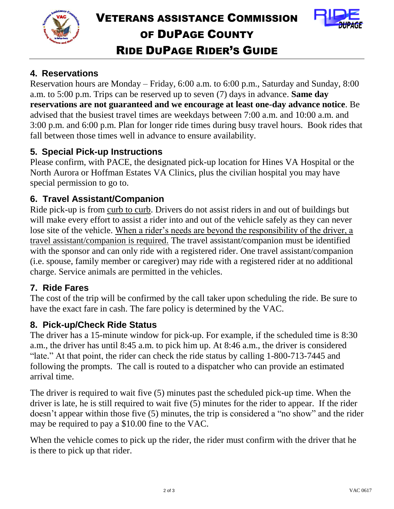



## **4. Reservations**

Reservation hours are Monday – Friday, 6:00 a.m. to 6:00 p.m., Saturday and Sunday, 8:00 a.m. to 5:00 p.m. Trips can be reserved up to seven (7) days in advance. **Same day reservations are not guaranteed and we encourage at least one-day advance notice**. Be advised that the busiest travel times are weekdays between 7:00 a.m. and 10:00 a.m. and 3:00 p.m. and 6:00 p.m. Plan for longer ride times during busy travel hours. Book rides that fall between those times well in advance to ensure availability.

## **5. Special Pick-up Instructions**

Please confirm, with PACE, the designated pick-up location for Hines VA Hospital or the North Aurora or Hoffman Estates VA Clinics, plus the civilian hospital you may have special permission to go to.

#### **6. Travel Assistant/Companion**

Ride pick-up is from curb to curb. Drivers do not assist riders in and out of buildings but will make every effort to assist a rider into and out of the vehicle safely as they can never lose site of the vehicle. When a rider's needs are beyond the responsibility of the driver, a travel assistant/companion is required. The travel assistant/companion must be identified with the sponsor and can only ride with a registered rider. One travel assistant/companion (i.e. spouse, family member or caregiver) may ride with a registered rider at no additional charge. Service animals are permitted in the vehicles.

#### **7. Ride Fares**

The cost of the trip will be confirmed by the call taker upon scheduling the ride. Be sure to have the exact fare in cash. The fare policy is determined by the VAC.

#### **8. Pick-up/Check Ride Status**

The driver has a 15-minute window for pick-up. For example, if the scheduled time is 8:30 a.m., the driver has until 8:45 a.m. to pick him up. At 8:46 a.m., the driver is considered "late." At that point, the rider can check the ride status by calling 1-800-713-7445 and following the prompts. The call is routed to a dispatcher who can provide an estimated arrival time.

The driver is required to wait five (5) minutes past the scheduled pick-up time. When the driver is late, he is still required to wait five (5) minutes for the rider to appear. If the rider doesn't appear within those five (5) minutes, the trip is considered a "no show" and the rider may be required to pay a \$10.00 fine to the VAC.

When the vehicle comes to pick up the rider, the rider must confirm with the driver that he is there to pick up that rider.